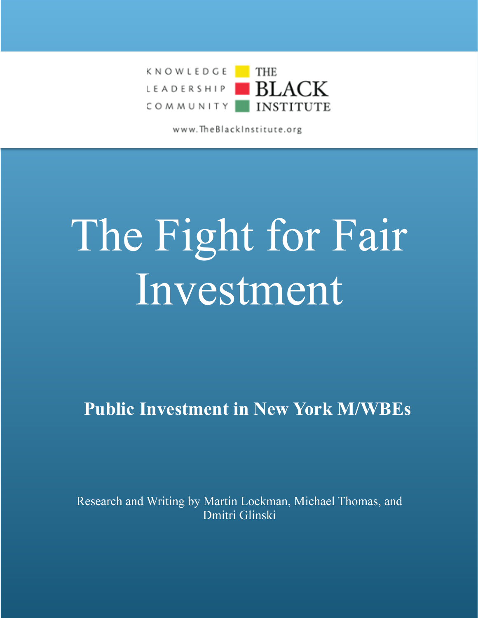

www.TheBlackInstitute.org

# The Fight for Fair Investment

**Public Investment in New York M/WBEs**

Research and Writing by Martin Lockman, Michael Thomas, and Dmitri Glinski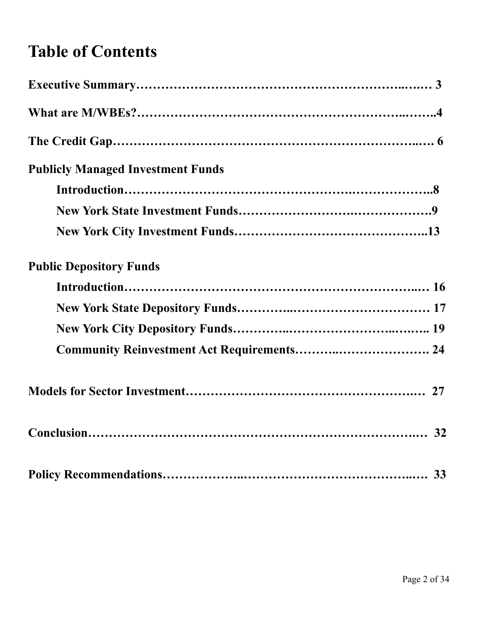# **Table of Contents**

| <b>Publicly Managed Investment Funds</b> |  |
|------------------------------------------|--|
|                                          |  |
|                                          |  |
|                                          |  |
| <b>Public Depository Funds</b>           |  |
|                                          |  |
|                                          |  |
|                                          |  |
|                                          |  |
|                                          |  |
|                                          |  |
|                                          |  |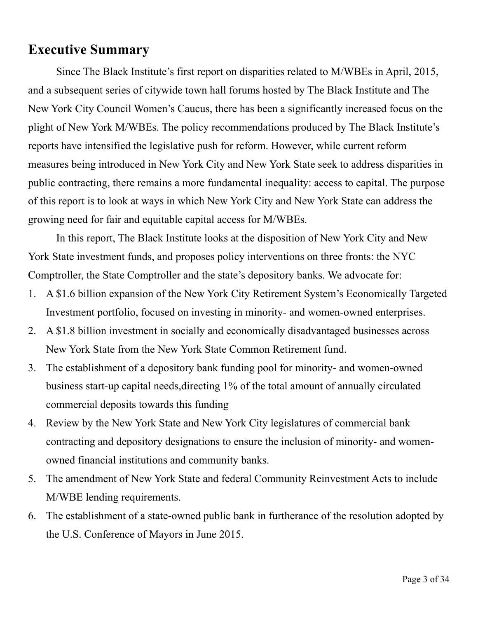## **Executive Summary**

 Since The Black Institute's first report on disparities related to M/WBEs in April, 2015, and a subsequent series of citywide town hall forums hosted by The Black Institute and The New York City Council Women's Caucus, there has been a significantly increased focus on the plight of New York M/WBEs. The policy recommendations produced by The Black Institute's reports have intensified the legislative push for reform. However, while current reform measures being introduced in New York City and New York State seek to address disparities in public contracting, there remains a more fundamental inequality: access to capital. The purpose of this report is to look at ways in which New York City and New York State can address the growing need for fair and equitable capital access for M/WBEs.

 In this report, The Black Institute looks at the disposition of New York City and New York State investment funds, and proposes policy interventions on three fronts: the NYC Comptroller, the State Comptroller and the state's depository banks. We advocate for:

- 1. A \$1.6 billion expansion of the New York City Retirement System's Economically Targeted Investment portfolio, focused on investing in minority- and women-owned enterprises.
- 2. A \$1.8 billion investment in socially and economically disadvantaged businesses across New York State from the New York State Common Retirement fund.
- 3. The establishment of a depository bank funding pool for minority- and women-owned business start-up capital needs,directing 1% of the total amount of annually circulated commercial deposits towards this funding
- 4. Review by the New York State and New York City legislatures of commercial bank contracting and depository designations to ensure the inclusion of minority- and womenowned financial institutions and community banks.
- 5. The amendment of New York State and federal Community Reinvestment Acts to include M/WBE lending requirements.
- 6. The establishment of a state-owned public bank in furtherance of the resolution adopted by the U.S. Conference of Mayors in June 2015.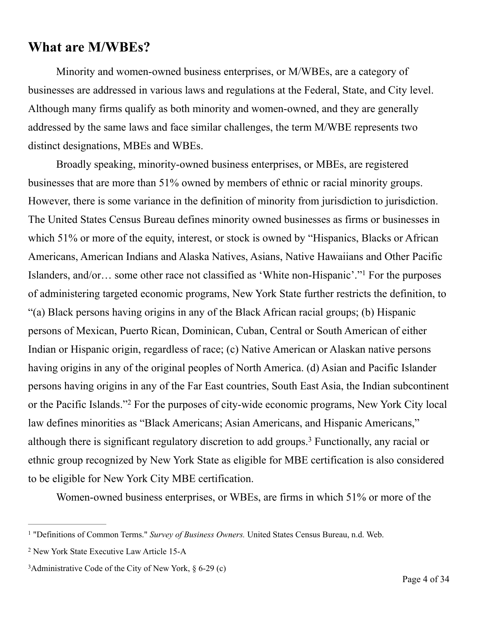## **What are M/WBEs?**

 Minority and women-owned business enterprises, or M/WBEs, are a category of businesses are addressed in various laws and regulations at the Federal, State, and City level. Although many firms qualify as both minority and women-owned, and they are generally addressed by the same laws and face similar challenges, the term M/WBE represents two distinct designations, MBEs and WBEs.

 Broadly speaking, minority-owned business enterprises, or MBEs, are registered businesses that are more than 51% owned by members of ethnic or racial minority groups. However, there is some variance in the definition of minority from jurisdiction to jurisdiction. The United States Census Bureau defines minority owned businesses as firms or businesses in which 51% or more of the equity, interest, or stock is owned by "Hispanics, Blacks or African Americans, American Indians and Alaska Natives, Asians, Native Hawaiians and Other Pacific Islanders, and/or… some other race not classified as 'White non-Hispanic'."<sup>1</sup> For the purposes of administering targeted economic programs, New York State further restricts the definition, to "(a) Black persons having origins in any of the Black African racial groups; (b) Hispanic persons of Mexican, Puerto Rican, Dominican, Cuban, Central or South American of either Indian or Hispanic origin, regardless of race; (c) Native American or Alaskan native persons having origins in any of the original peoples of North America. (d) Asian and Pacific Islander persons having origins in any of the Far East countries, South East Asia, the Indian subcontinent or the Pacific Islands."<sup>2</sup> For the purposes of city-wide economic programs, New York City local law defines minorities as "Black Americans; Asian Americans, and Hispanic Americans," although there is significant regulatory discretion to add groups.<sup>3</sup> Functionally, any racial or ethnic group recognized by New York State as eligible for MBE certification is also considered to be eligible for New York City MBE certification.

Women-owned business enterprises, or WBEs, are firms in which 51% or more of the

<sup>&</sup>lt;sup>1</sup> "Definitions of Common Terms." *Survey of Business Owners*. United States Census Bureau, n.d. Web.

<sup>2</sup> New York State Executive Law Article 15-A

<sup>&</sup>lt;sup>3</sup>Administrative Code of the City of New York,  $\S$  6-29 (c)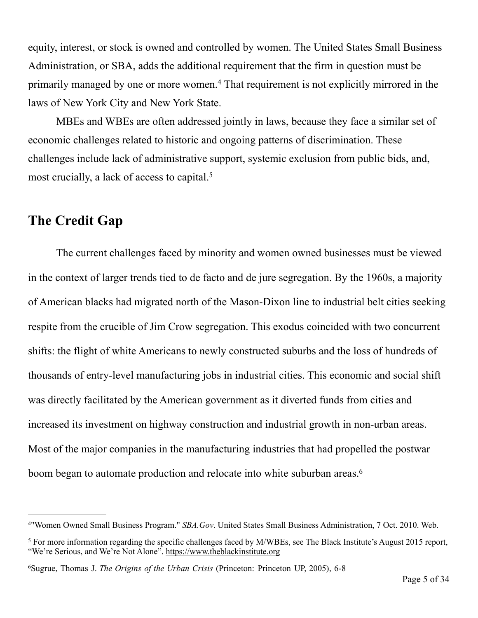equity, interest, or stock is owned and controlled by women. The United States Small Business Administration, or SBA, adds the additional requirement that the firm in question must be primarily managed by one or more women.<sup>4</sup> That requirement is not explicitly mirrored in the laws of New York City and New York State.

 MBEs and WBEs are often addressed jointly in laws, because they face a similar set of economic challenges related to historic and ongoing patterns of discrimination. These challenges include lack of administrative support, systemic exclusion from public bids, and, most crucially, a lack of access to capital.<sup>5</sup>

#### **The Credit Gap**

 The current challenges faced by minority and women owned businesses must be viewed in the context of larger trends tied to de facto and de jure segregation. By the 1960s, a majority of American blacks had migrated north of the Mason-Dixon line to industrial belt cities seeking respite from the crucible of Jim Crow segregation. This exodus coincided with two concurrent shifts: the flight of white Americans to newly constructed suburbs and the loss of hundreds of thousands of entry-level manufacturing jobs in industrial cities. This economic and social shift was directly facilitated by the American government as it diverted funds from cities and increased its investment on highway construction and industrial growth in non-urban areas. Most of the major companies in the manufacturing industries that had propelled the postwar boom began to automate production and relocate into white suburban areas. 6

<sup>&</sup>quot;Women Owned Small Business Program." *SBA.Gov*. United States Small Business Administration, 7 Oct. 2010. Web. 4

<sup>&</sup>lt;sup>5</sup> For more information regarding the specific challenges faced by M/WBEs, see The Black Institute's August 2015 report, "We're Serious, and We're Not Alone".<https://www.theblackinstitute.org>

Sugrue, Thomas J. *The Origins of the Urban Crisis* (Princeton: Princeton UP, 2005), 6-8 <sup>6</sup>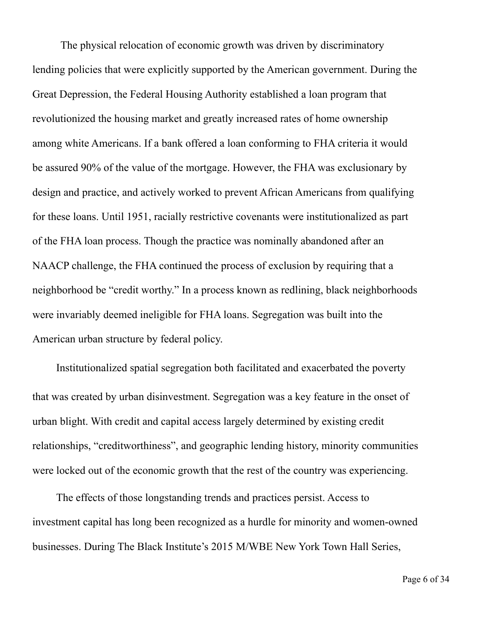The physical relocation of economic growth was driven by discriminatory lending policies that were explicitly supported by the American government. During the Great Depression, the Federal Housing Authority established a loan program that revolutionized the housing market and greatly increased rates of home ownership among white Americans. If a bank offered a loan conforming to FHA criteria it would be assured 90% of the value of the mortgage. However, the FHA was exclusionary by design and practice, and actively worked to prevent African Americans from qualifying for these loans. Until 1951, racially restrictive covenants were institutionalized as part of the FHA loan process. Though the practice was nominally abandoned after an NAACP challenge, the FHA continued the process of exclusion by requiring that a neighborhood be "credit worthy." In a process known as redlining, black neighborhoods were invariably deemed ineligible for FHA loans. Segregation was built into the American urban structure by federal policy.

Institutionalized spatial segregation both facilitated and exacerbated the poverty that was created by urban disinvestment. Segregation was a key feature in the onset of urban blight. With credit and capital access largely determined by existing credit relationships, "creditworthiness", and geographic lending history, minority communities were locked out of the economic growth that the rest of the country was experiencing.

 The effects of those longstanding trends and practices persist. Access to investment capital has long been recognized as a hurdle for minority and women-owned businesses. During The Black Institute's 2015 M/WBE New York Town Hall Series,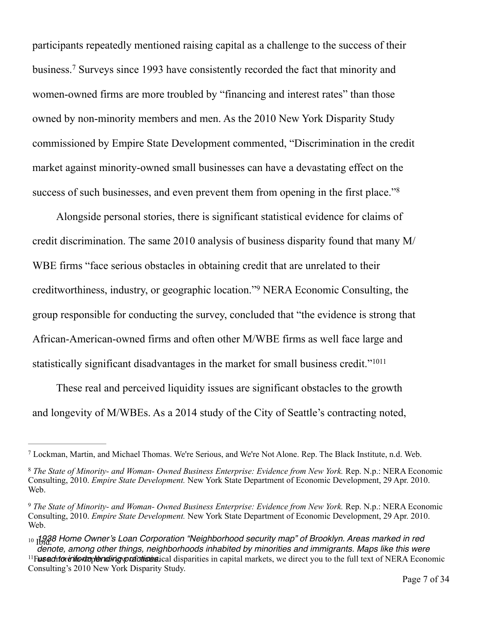participants repeatedly mentioned raising capital as a challenge to the success of their business.<sup>7</sup> Surveys since 1993 have consistently recorded the fact that minority and women-owned firms are more troubled by "financing and interest rates" than those owned by non-minority members and men. As the 2010 New York Disparity Study commissioned by Empire State Development commented, "Discrimination in the credit market against minority-owned small businesses can have a devastating effect on the success of such businesses, and even prevent them from opening in the first place."<sup>8</sup>

 Alongside personal stories, there is significant statistical evidence for claims of credit discrimination. The same 2010 analysis of business disparity found that many M/ WBE firms "face serious obstacles in obtaining credit that are unrelated to their creditworthiness, industry, or geographic location."<sup>9</sup> NERA Economic Consulting, the group responsible for conducting the survey, concluded that "the evidence is strong that African-American-owned firms and often other M/WBE firms as well face large and statistically significant disadvantages in the market for small business credit."1011

 These real and perceived liquidity issues are significant obstacles to the growth and longevity of M/WBEs. As a 2014 study of the City of Seattle's contracting noted,

Lockman, Martin, and Michael Thomas. We're Serious, and We're Not Alone. Rep. The Black Institute, n.d. Web. 7

*The State of Minority- and Woman- Owned Business Enterprise: Evidence from New York.* Rep. N.p.: NERA Economic 8 Consulting, 2010. *Empire State Development.* New York State Department of Economic Development, 29 Apr. 2010. Web.

*The State of Minority- and Woman- Owned Business Enterprise: Evidence from New York.* Rep. N.p.: NERA Economic 9 Consulting, 2010. *Empire State Development.* New York State Department of Economic Development, 29 Apr. 2010. Web.

<sup>10 &</sup>lt;sub>1</sub>1938 Home Owner's Loan Corporation "Neighborhood security map" of Brooklyn. Areas marked in red *denote, among other things, neighborhoods inhabited by minorities and immigrants. Maps like this were* 

<sup>&</sup>lt;sup>11</sup>Fusentorion to the review of the statistical disparities in capital markets, we direct you to the full text of NERA Economic Consulting's 2010 New York Disparity Study.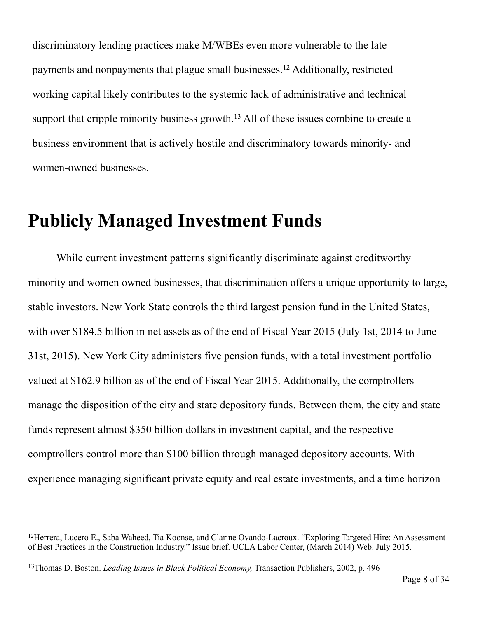discriminatory lending practices make M/WBEs even more vulnerable to the late payments and nonpayments that plague small businesses.<sup>12</sup> Additionally, restricted working capital likely contributes to the systemic lack of administrative and technical support that cripple minority business growth.<sup>13</sup> All of these issues combine to create a business environment that is actively hostile and discriminatory towards minority- and women-owned businesses.

## **Publicly Managed Investment Funds**

 While current investment patterns significantly discriminate against creditworthy minority and women owned businesses, that discrimination offers a unique opportunity to large, stable investors. New York State controls the third largest pension fund in the United States, with over \$184.5 billion in net assets as of the end of Fiscal Year 2015 (July 1st, 2014 to June 31st, 2015). New York City administers five pension funds, with a total investment portfolio valued at \$162.9 billion as of the end of Fiscal Year 2015. Additionally, the comptrollers manage the disposition of the city and state depository funds. Between them, the city and state funds represent almost \$350 billion dollars in investment capital, and the respective comptrollers control more than \$100 billion through managed depository accounts. With experience managing significant private equity and real estate investments, and a time horizon

<sup>&</sup>lt;sup>12</sup>Herrera, Lucero E., Saba Waheed, Tia Koonse, and Clarine Ovando-Lacroux. "Exploring Targeted Hire: An Assessment of Best Practices in the Construction Industry." Issue brief. UCLA Labor Center, (March 2014) Web. July 2015.

<sup>&</sup>lt;sup>13</sup>Thomas D. Boston. *Leading Issues in Black Political Economy*, Transaction Publishers, 2002, p. 496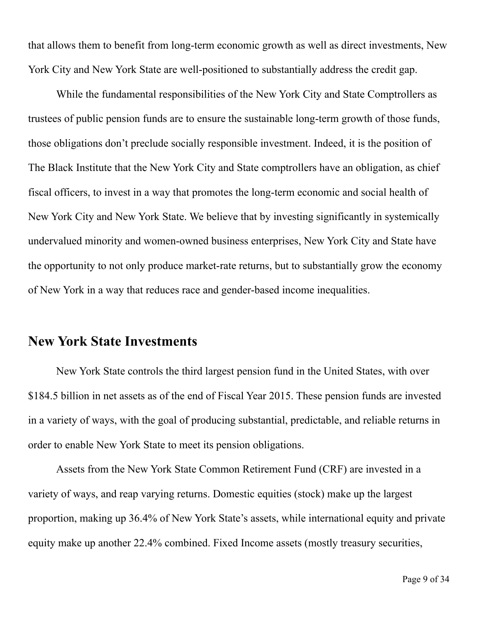that allows them to benefit from long-term economic growth as well as direct investments, New York City and New York State are well-positioned to substantially address the credit gap.

 While the fundamental responsibilities of the New York City and State Comptrollers as trustees of public pension funds are to ensure the sustainable long-term growth of those funds, those obligations don't preclude socially responsible investment. Indeed, it is the position of The Black Institute that the New York City and State comptrollers have an obligation, as chief fiscal officers, to invest in a way that promotes the long-term economic and social health of New York City and New York State. We believe that by investing significantly in systemically undervalued minority and women-owned business enterprises, New York City and State have the opportunity to not only produce market-rate returns, but to substantially grow the economy of New York in a way that reduces race and gender-based income inequalities.

#### **New York State Investments**

 New York State controls the third largest pension fund in the United States, with over \$184.5 billion in net assets as of the end of Fiscal Year 2015. These pension funds are invested in a variety of ways, with the goal of producing substantial, predictable, and reliable returns in order to enable New York State to meet its pension obligations.

 Assets from the New York State Common Retirement Fund (CRF) are invested in a variety of ways, and reap varying returns. Domestic equities (stock) make up the largest proportion, making up 36.4% of New York State's assets, while international equity and private equity make up another 22.4% combined. Fixed Income assets (mostly treasury securities,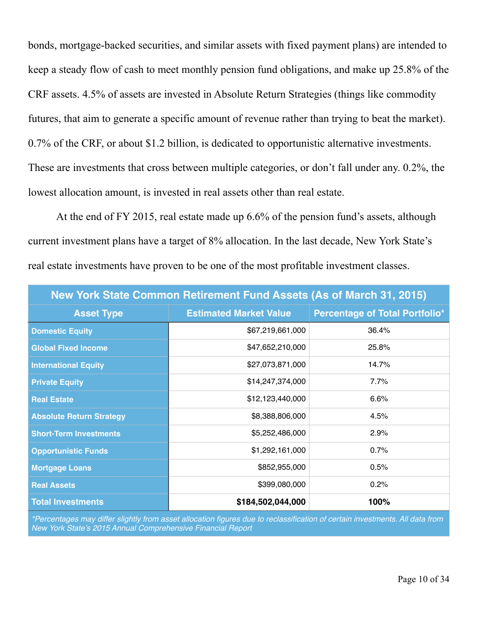bonds, mortgage-backed securities, and similar assets with fixed payment plans) are intended to keep a steady flow of cash to meet monthly pension fund obligations, and make up 25.8% of the CRF assets. 4.5% of assets are invested in Absolute Return Strategies (things like commodity futures, that aim to generate a specific amount of revenue rather than trying to beat the market). 0.7% of the CRF, or about \$1.2 billion, is dedicated to opportunistic alternative investments. These are investments that cross between multiple categories, or don't fall under any. 0.2%, the lowest allocation amount, is invested in real assets other than real estate.

 At the end of FY 2015, real estate made up 6.6% of the pension fund's assets, although current investment plans have a target of 8% allocation. In the last decade, New York State's real estate investments have proven to be one of the most profitable investment classes.

| <b>New York State Common Retirement Fund Assets (As of March 31, 2015)</b> |                               |                                       |  |
|----------------------------------------------------------------------------|-------------------------------|---------------------------------------|--|
| <b>Asset Type</b>                                                          | <b>Estimated Market Value</b> | <b>Percentage of Total Portfolio*</b> |  |
| <b>Domestic Equity</b>                                                     | \$67,219,661,000              | 36.4%                                 |  |
| <b>Global Fixed Income</b>                                                 | \$47,652,210,000              | 25.8%                                 |  |
| <b>International Equity</b>                                                | \$27,073,871,000              | 14.7%                                 |  |
| <b>Private Equity</b>                                                      | \$14,247,374,000              | 7.7%                                  |  |
| <b>Real Estate</b>                                                         | \$12,123,440,000              | 6.6%                                  |  |
| <b>Absolute Return Strategy</b>                                            | \$8,388,806,000               | 4.5%                                  |  |
| <b>Short-Term Investments</b>                                              | \$5,252,486,000               | 2.9%                                  |  |
| <b>Opportunistic Funds</b>                                                 | \$1,292,161,000               | 0.7%                                  |  |
| <b>Mortgage Loans</b>                                                      | \$852,955,000                 | 0.5%                                  |  |
| <b>Real Assets</b>                                                         | \$399,080,000                 | 0.2%                                  |  |
| <b>Total Investments</b>                                                   | \$184,502,044,000             | 100%                                  |  |

*\*Percentages may differ slightly from asset allocation figures due to reclassification of certain investments. All data from New York State's 2015 Annual Comprehensive Financial Report*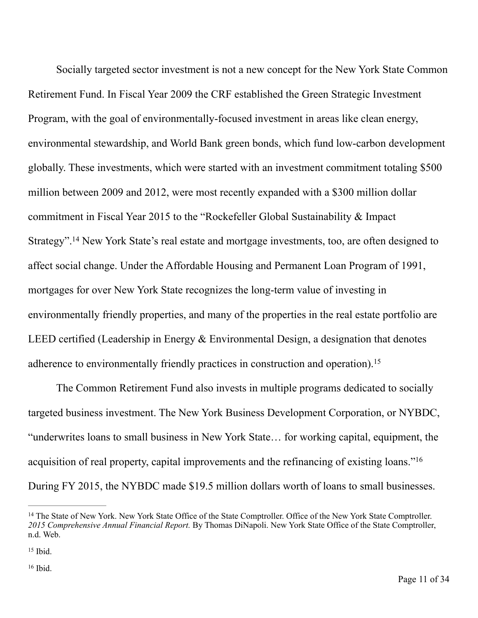Socially targeted sector investment is not a new concept for the New York State Common Retirement Fund. In Fiscal Year 2009 the CRF established the Green Strategic Investment Program, with the goal of environmentally-focused investment in areas like clean energy, environmental stewardship, and World Bank green bonds, which fund low-carbon development globally. These investments, which were started with an investment commitment totaling \$500 million between 2009 and 2012, were most recently expanded with a \$300 million dollar commitment in Fiscal Year 2015 to the "Rockefeller Global Sustainability & Impact Strategy".<sup>14</sup> New York State's real estate and mortgage investments, too, are often designed to affect social change. Under the Affordable Housing and Permanent Loan Program of 1991, mortgages for over New York State recognizes the long-term value of investing in environmentally friendly properties, and many of the properties in the real estate portfolio are LEED certified (Leadership in Energy & Environmental Design, a designation that denotes adherence to environmentally friendly practices in construction and operation).<sup>15</sup>

 The Common Retirement Fund also invests in multiple programs dedicated to socially targeted business investment. The New York Business Development Corporation, or NYBDC, "underwrites loans to small business in New York State… for working capital, equipment, the acquisition of real property, capital improvements and the refinancing of existing loans."16 During FY 2015, the NYBDC made \$19.5 million dollars worth of loans to small businesses.

<sup>&</sup>lt;sup>14</sup> The State of New York. New York State Office of the State Comptroller. Office of the New York State Comptroller. *2015 Comprehensive Annual Financial Report.* By Thomas DiNapoli. New York State Office of the State Comptroller, n.d. Web.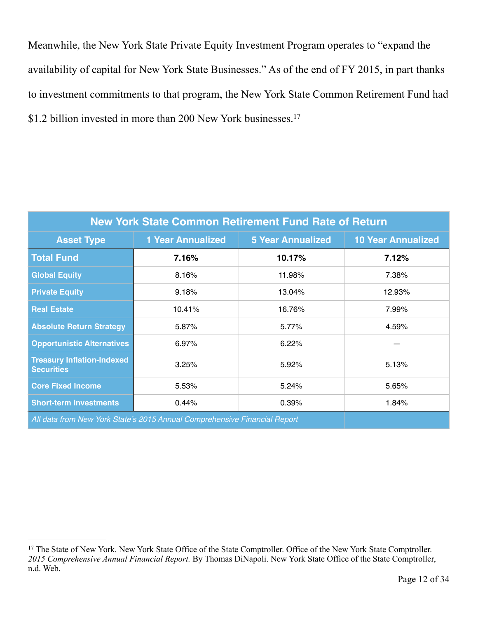Meanwhile, the New York State Private Equity Investment Program operates to "expand the availability of capital for New York State Businesses." As of the end of FY 2015, in part thanks to investment commitments to that program, the New York State Common Retirement Fund had \$1.2 billion invested in more than 200 New York businesses.<sup>17</sup>

| <b>New York State Common Retirement Fund Rate of Return</b> |                                                                           |                          |                           |
|-------------------------------------------------------------|---------------------------------------------------------------------------|--------------------------|---------------------------|
| <b>Asset Type</b>                                           | <b>1 Year Annualized</b>                                                  | <b>5 Year Annualized</b> | <b>10 Year Annualized</b> |
| <b>Total Fund</b>                                           | 7.16%                                                                     | 10.17%                   | 7.12%                     |
| <b>Global Equity</b>                                        | 8.16%                                                                     | 11.98%                   | 7.38%                     |
| <b>Private Equity</b>                                       | 9.18%                                                                     | 13.04%                   | 12.93%                    |
| <b>Real Estate</b>                                          | 10.41%                                                                    | 16.76%                   | 7.99%                     |
| <b>Absolute Return Strategy</b>                             | 5.87%                                                                     | 5.77%                    | 4.59%                     |
| <b>Opportunistic Alternatives</b>                           | 6.97%                                                                     | 6.22%                    |                           |
| <b>Treasury Inflation-Indexed</b><br><b>Securities</b>      | 3.25%                                                                     | 5.92%                    | 5.13%                     |
| <b>Core Fixed Income</b>                                    | 5.53%                                                                     | 5.24%                    | 5.65%                     |
| <b>Short-term Investments</b>                               | 0.44%                                                                     | 0.39%                    | 1.84%                     |
|                                                             | All data from New York State's 2015 Annual Comprehensive Financial Report |                          |                           |

<sup>&</sup>lt;sup>17</sup> The State of New York. New York State Office of the State Comptroller. Office of the New York State Comptroller. *2015 Comprehensive Annual Financial Report.* By Thomas DiNapoli. New York State Office of the State Comptroller, n.d. Web.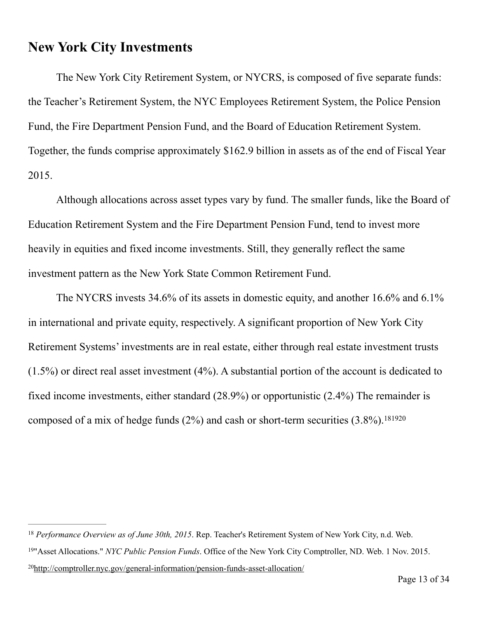#### **New York City Investments**

 The New York City Retirement System, or NYCRS, is composed of five separate funds: the Teacher's Retirement System, the NYC Employees Retirement System, the Police Pension Fund, the Fire Department Pension Fund, and the Board of Education Retirement System. Together, the funds comprise approximately \$162.9 billion in assets as of the end of Fiscal Year 2015.

 Although allocations across asset types vary by fund. The smaller funds, like the Board of Education Retirement System and the Fire Department Pension Fund, tend to invest more heavily in equities and fixed income investments. Still, they generally reflect the same investment pattern as the New York State Common Retirement Fund.

 The NYCRS invests 34.6% of its assets in domestic equity, and another 16.6% and 6.1% in international and private equity, respectively. A significant proportion of New York City Retirement Systems' investments are in real estate, either through real estate investment trusts (1.5%) or direct real asset investment (4%). A substantial portion of the account is dedicated to fixed income investments, either standard (28.9%) or opportunistic (2.4%) The remainder is composed of a mix of hedge funds  $(2%)$  and cash or short-term securities  $(3.8%)$ .<sup>181920</sup>

<sup>&</sup>lt;sup>18</sup> Performance Overview as of June 30th, 2015. Rep. Teacher's Retirement System of New York City, n.d. Web.

<sup>&</sup>lt;sup>19</sup>"Asset Allocations." *NYC Public Pension Funds*. Office of the New York City Comptroller, ND. Web. 1 Nov. 2015.

<sup>&</sup>lt;sup>20</sup><http://comptroller.nyc.gov/general-information/pension-funds-asset-allocation/>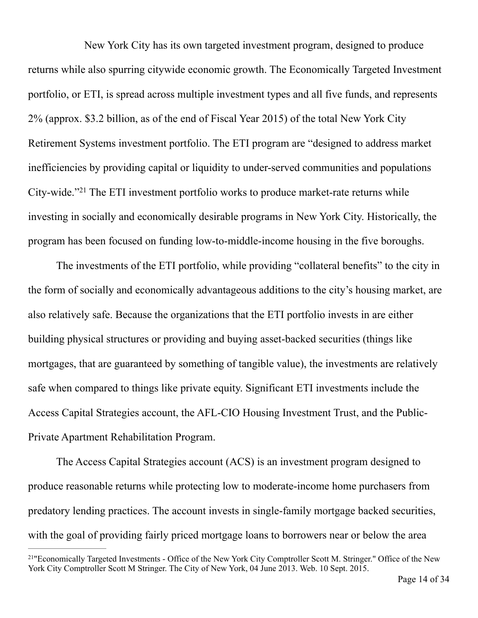New York City has its own targeted investment program, designed to produce returns while also spurring citywide economic growth. The Economically Targeted Investment portfolio, or ETI, is spread across multiple investment types and all five funds, and represents 2% (approx. \$3.2 billion, as of the end of Fiscal Year 2015) of the total New York City Retirement Systems investment portfolio. The ETI program are "designed to address market inefficiencies by providing capital or liquidity to under-served communities and populations City-wide. $"^{21}$  The ETI investment portfolio works to produce market-rate returns while investing in socially and economically desirable programs in New York City. Historically, the program has been focused on funding low-to-middle-income housing in the five boroughs.

 The investments of the ETI portfolio, while providing "collateral benefits" to the city in the form of socially and economically advantageous additions to the city's housing market, are also relatively safe. Because the organizations that the ETI portfolio invests in are either building physical structures or providing and buying asset-backed securities (things like mortgages, that are guaranteed by something of tangible value), the investments are relatively safe when compared to things like private equity. Significant ETI investments include the Access Capital Strategies account, the AFL-CIO Housing Investment Trust, and the Public-Private Apartment Rehabilitation Program.

 The Access Capital Strategies account (ACS) is an investment program designed to produce reasonable returns while protecting low to moderate-income home purchasers from predatory lending practices. The account invests in single-family mortgage backed securities, with the goal of providing fairly priced mortgage loans to borrowers near or below the area

<sup>&</sup>lt;sup>21</sup>"Economically Targeted Investments - Office of the New York City Comptroller Scott M. Stringer." Office of the New York City Comptroller Scott M Stringer. The City of New York, 04 June 2013. Web. 10 Sept. 2015.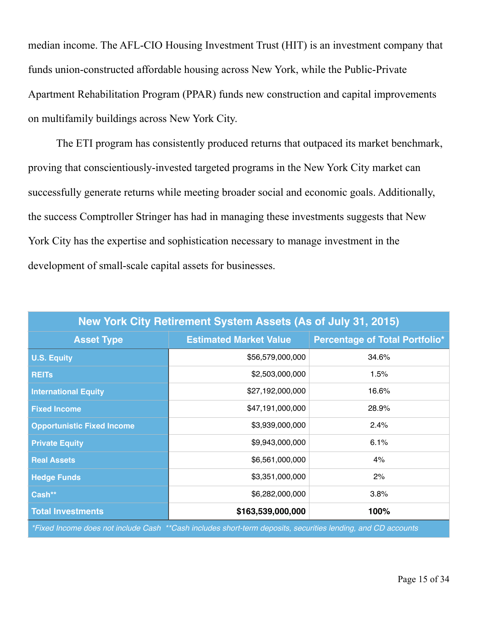median income. The AFL-CIO Housing Investment Trust (HIT) is an investment company that funds union-constructed affordable housing across New York, while the Public-Private Apartment Rehabilitation Program (PPAR) funds new construction and capital improvements on multifamily buildings across New York City.

 The ETI program has consistently produced returns that outpaced its market benchmark, proving that conscientiously-invested targeted programs in the New York City market can successfully generate returns while meeting broader social and economic goals. Additionally, the success Comptroller Stringer has had in managing these investments suggests that New York City has the expertise and sophistication necessary to manage investment in the development of small-scale capital assets for businesses.

| New York City Retirement System Assets (As of July 31, 2015)                                                 |                               |                                       |  |
|--------------------------------------------------------------------------------------------------------------|-------------------------------|---------------------------------------|--|
| <b>Asset Type</b>                                                                                            | <b>Estimated Market Value</b> | <b>Percentage of Total Portfolio*</b> |  |
| <b>U.S. Equity</b>                                                                                           | \$56,579,000,000              | 34.6%                                 |  |
| <b>REITS</b>                                                                                                 | \$2,503,000,000               | 1.5%                                  |  |
| <b>International Equity</b>                                                                                  | \$27,192,000,000              | 16.6%                                 |  |
| <b>Fixed Income</b>                                                                                          | \$47,191,000,000              | 28.9%                                 |  |
| <b>Opportunistic Fixed Income</b>                                                                            | \$3,939,000,000               | 2.4%                                  |  |
| <b>Private Equity</b>                                                                                        | \$9,943,000,000               | 6.1%                                  |  |
| <b>Real Assets</b>                                                                                           | \$6,561,000,000               | 4%                                    |  |
| <b>Hedge Funds</b>                                                                                           | \$3,351,000,000               | 2%                                    |  |
| Cash**                                                                                                       | \$6,282,000,000               | 3.8%                                  |  |
| <b>Total Investments</b>                                                                                     | \$163,539,000,000             | 100%                                  |  |
| *Fixed Income does not include Cash **Cash includes short-term deposits, securities lending, and CD accounts |                               |                                       |  |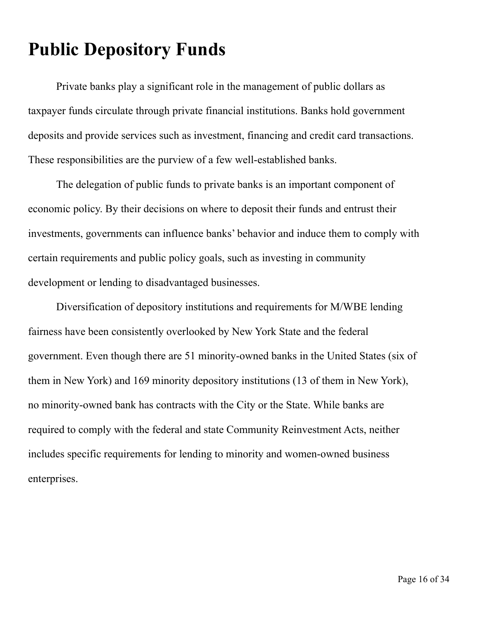# **Public Depository Funds**

 Private banks play a significant role in the management of public dollars as taxpayer funds circulate through private financial institutions. Banks hold government deposits and provide services such as investment, financing and credit card transactions. These responsibilities are the purview of a few well-established banks.

 The delegation of public funds to private banks is an important component of economic policy. By their decisions on where to deposit their funds and entrust their investments, governments can influence banks' behavior and induce them to comply with certain requirements and public policy goals, such as investing in community development or lending to disadvantaged businesses.

 Diversification of depository institutions and requirements for M/WBE lending fairness have been consistently overlooked by New York State and the federal government. Even though there are 51 minority-owned banks in the United States (six of them in New York) and 169 minority depository institutions (13 of them in New York), no minority-owned bank has contracts with the City or the State. While banks are required to comply with the federal and state Community Reinvestment Acts, neither includes specific requirements for lending to minority and women-owned business enterprises.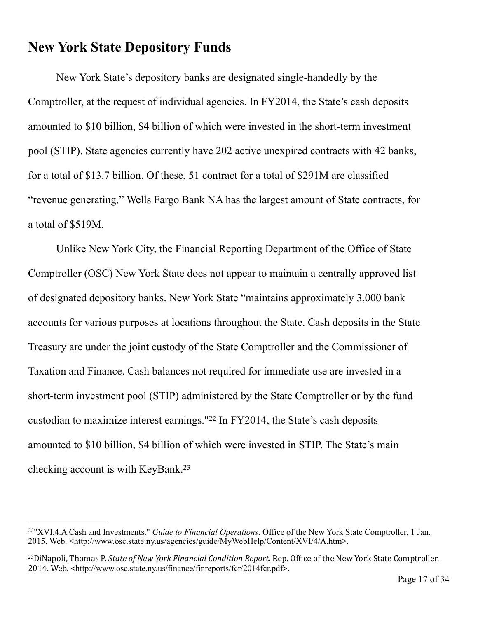## **New York State Depository Funds**

 New York State's depository banks are designated single-handedly by the Comptroller, at the request of individual agencies. In FY2014, the State's cash deposits amounted to \$10 billion, \$4 billion of which were invested in the short-term investment pool (STIP). State agencies currently have 202 active unexpired contracts with 42 banks, for a total of \$13.7 billion. Of these, 51 contract for a total of \$291M are classified "revenue generating." Wells Fargo Bank NA has the largest amount of State contracts, for a total of \$519M.

 Unlike New York City, the Financial Reporting Department of the Office of State Comptroller (OSC) New York State does not appear to maintain a centrally approved list of designated depository banks. New York State "maintains approximately 3,000 bank accounts for various purposes at locations throughout the State. Cash deposits in the State Treasury are under the joint custody of the State Comptroller and the Commissioner of Taxation and Finance. Cash balances not required for immediate use are invested in a short-term investment pool (STIP) administered by the State Comptroller or by the fund custodian to maximize interest earnings." $22$  In FY2014, the State's cash deposits amounted to \$10 billion, \$4 billion of which were invested in STIP. The State's main checking account is with KeyBank.23

<sup>&</sup>lt;sup>22</sup>"XVI.4.A Cash and Investments." *Guide to Financial Operations*. Office of the New York State Comptroller, 1 Jan. 2015. Web. <<http://www.osc.state.ny.us/agencies/guide/MyWebHelp/Content/XVI/4/A.htm>>.

<sup>&</sup>lt;sup>23</sup>DiNapoli, Thomas P. *State of New York Financial Condition Report*. Rep. Office of the New York State Comptroller, 2014. Web. <<http://www.osc.state.ny.us/finance/finreports/fcr/2014fcr.pdf>>.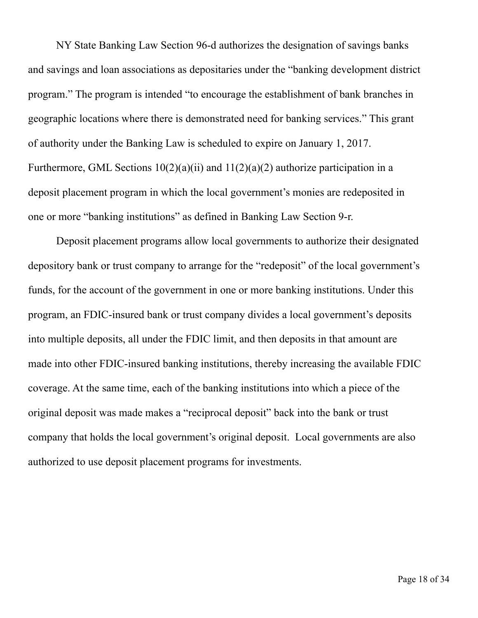NY State Banking Law Section 96-d authorizes the designation of savings banks and savings and loan associations as depositaries under the "banking development district program." The program is intended "to encourage the establishment of bank branches in geographic locations where there is demonstrated need for banking services." This grant of authority under the Banking Law is scheduled to expire on January 1, 2017. Furthermore, GML Sections  $10(2)(a)(ii)$  and  $11(2)(a)(2)$  authorize participation in a deposit placement program in which the local government's monies are redeposited in one or more "banking institutions" as defined in Banking Law Section 9-r.

Deposit placement programs allow local governments to authorize their designated depository bank or trust company to arrange for the "redeposit" of the local government's funds, for the account of the government in one or more banking institutions. Under this program, an FDIC-insured bank or trust company divides a local government's deposits into multiple deposits, all under the FDIC limit, and then deposits in that amount are made into other FDIC-insured banking institutions, thereby increasing the available FDIC coverage. At the same time, each of the banking institutions into which a piece of the original deposit was made makes a "reciprocal deposit" back into the bank or trust company that holds the local government's original deposit. Local governments are also authorized to use deposit placement programs for investments.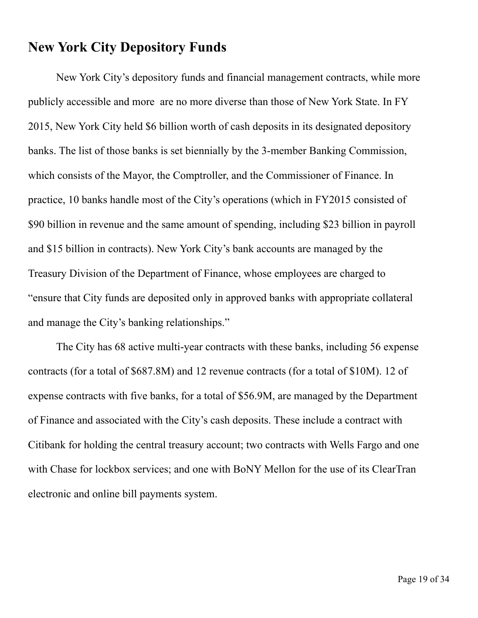#### **New York City Depository Funds**

 New York City's depository funds and financial management contracts, while more publicly accessible and more are no more diverse than those of New York State. In FY 2015, New York City held \$6 billion worth of cash deposits in its designated depository banks. The list of those banks is set biennially by the 3-member Banking Commission, which consists of the Mayor, the Comptroller, and the Commissioner of Finance. In practice, 10 banks handle most of the City's operations (which in FY2015 consisted of \$90 billion in revenue and the same amount of spending, including \$23 billion in payroll and \$15 billion in contracts). New York City's bank accounts are managed by the Treasury Division of the Department of Finance, whose employees are charged to "ensure that City funds are deposited only in approved banks with appropriate collateral and manage the City's banking relationships."

 The City has 68 active multi-year contracts with these banks, including 56 expense contracts (for a total of \$687.8M) and 12 revenue contracts (for a total of \$10M). 12 of expense contracts with five banks, for a total of \$56.9M, are managed by the Department of Finance and associated with the City's cash deposits. These include a contract with Citibank for holding the central treasury account; two contracts with Wells Fargo and one with Chase for lockbox services; and one with BoNY Mellon for the use of its ClearTran electronic and online bill payments system.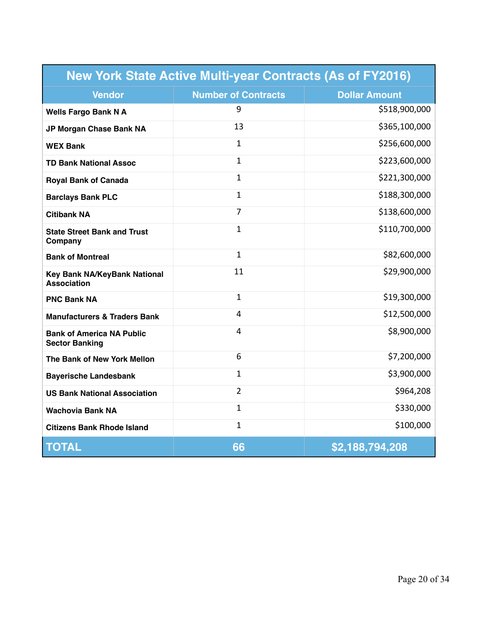| <b>New York State Active Multi-year Contracts (As of FY2016)</b> |                            |                      |  |
|------------------------------------------------------------------|----------------------------|----------------------|--|
| <b>Vendor</b>                                                    | <b>Number of Contracts</b> | <b>Dollar Amount</b> |  |
| <b>Wells Fargo Bank N A</b>                                      | 9                          | \$518,900,000        |  |
| JP Morgan Chase Bank NA                                          | 13                         | \$365,100,000        |  |
| <b>WEX Bank</b>                                                  | $\mathbf{1}$               | \$256,600,000        |  |
| <b>TD Bank National Assoc</b>                                    | $\mathbf{1}$               | \$223,600,000        |  |
| <b>Royal Bank of Canada</b>                                      | $\mathbf{1}$               | \$221,300,000        |  |
| <b>Barclays Bank PLC</b>                                         | 1                          | \$188,300,000        |  |
| <b>Citibank NA</b>                                               | $\overline{7}$             | \$138,600,000        |  |
| <b>State Street Bank and Trust</b><br>Company                    | $\mathbf{1}$               | \$110,700,000        |  |
| <b>Bank of Montreal</b>                                          | $\mathbf{1}$               | \$82,600,000         |  |
| Key Bank NA/KeyBank National<br>Association                      | 11                         | \$29,900,000         |  |
| <b>PNC Bank NA</b>                                               | $\mathbf{1}$               | \$19,300,000         |  |
| <b>Manufacturers &amp; Traders Bank</b>                          | 4                          | \$12,500,000         |  |
| <b>Bank of America NA Public</b><br><b>Sector Banking</b>        | 4                          | \$8,900,000          |  |
| The Bank of New York Mellon                                      | 6                          | \$7,200,000          |  |
| <b>Bayerische Landesbank</b>                                     | $\mathbf{1}$               | \$3,900,000          |  |
| <b>US Bank National Association</b>                              | $\overline{2}$             | \$964,208            |  |
| <b>Wachovia Bank NA</b>                                          | $\mathbf{1}$               | \$330,000            |  |
| <b>Citizens Bank Rhode Island</b>                                | $\mathbf{1}$               | \$100,000            |  |
| <b>TOTAL</b>                                                     | 66                         | \$2,188,794,208      |  |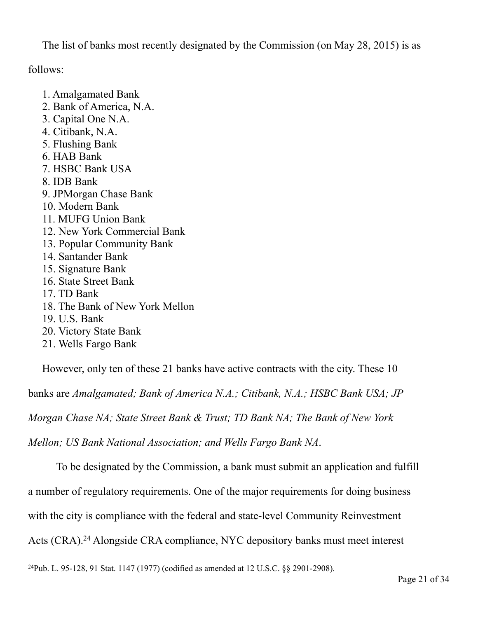The list of banks most recently designated by the Commission (on May 28, 2015) is as

follows:

- 1. Amalgamated Bank
- 2. Bank of America, N.A.
- 3. Capital One N.A.
- 4. Citibank, N.A.
- 5. Flushing Bank
- 6. HAB Bank
- 7. HSBC Bank USA
- 8. IDB Bank
- 9. JPMorgan Chase Bank
- 10. Modern Bank
- 11. MUFG Union Bank
- 12. New York Commercial Bank
- 13. Popular Community Bank
- 14. Santander Bank
- 15. Signature Bank
- 16. State Street Bank
- 17. TD Bank
- 18. The Bank of New York Mellon
- 19. U.S. Bank
- 20. Victory State Bank
- 21. Wells Fargo Bank

However, only ten of these 21 banks have active contracts with the city. These 10

banks are *Amalgamated; Bank of America N.A.; Citibank, N.A.; HSBC Bank USA; JP* 

*Morgan Chase NA; State Street Bank & Trust; TD Bank NA; The Bank of New York* 

*Mellon; US Bank National Association; and Wells Fargo Bank NA*.

To be designated by the Commission, a bank must submit an application and fulfill

a number of regulatory requirements. One of the major requirements for doing business

with the city is compliance with the federal and state-level Community Reinvestment

Acts (CRA).<sup>24</sup> Alongside CRA compliance, NYC depository banks must meet interest

<sup>&</sup>lt;sup>24</sup>Pub. L. 95-128, 91 Stat. 1147 (1977) (codified as amended at 12 U.S.C.  $\S$  2901-2908).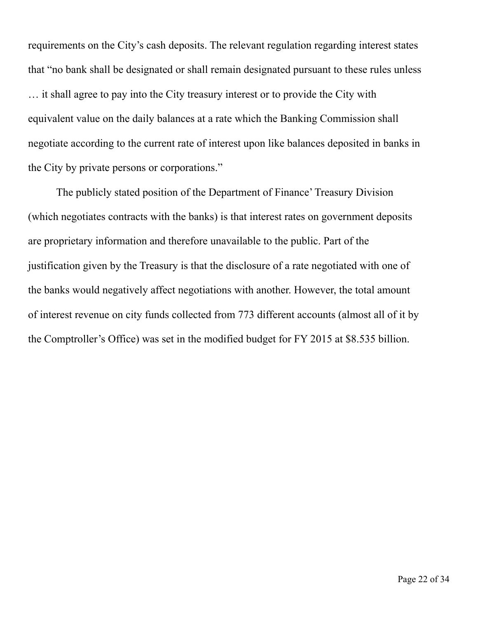requirements on the City's cash deposits. The relevant regulation regarding interest states that "no bank shall be designated or shall remain designated pursuant to these rules unless … it shall agree to pay into the City treasury interest or to provide the City with equivalent value on the daily balances at a rate which the Banking Commission shall negotiate according to the current rate of interest upon like balances deposited in banks in the City by private persons or corporations."

 The publicly stated position of the Department of Finance' Treasury Division (which negotiates contracts with the banks) is that interest rates on government deposits are proprietary information and therefore unavailable to the public. Part of the justification given by the Treasury is that the disclosure of a rate negotiated with one of the banks would negatively affect negotiations with another. However, the total amount of interest revenue on city funds collected from 773 different accounts (almost all of it by the Comptroller's Office) was set in the modified budget for FY 2015 at \$8.535 billion.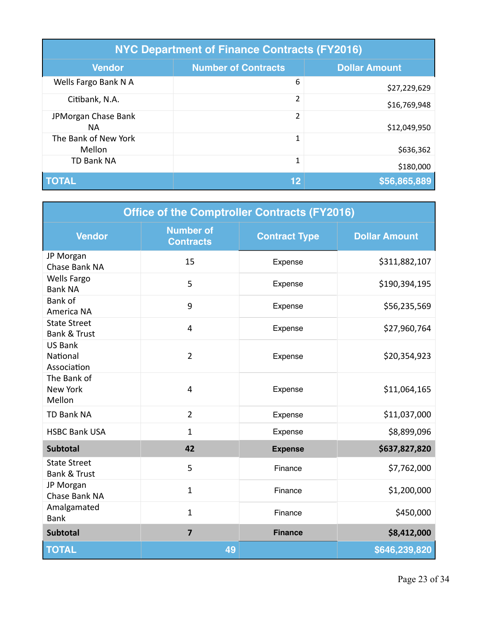| <b>NYC Department of Finance Contracts (FY2016)</b> |                            |                      |  |
|-----------------------------------------------------|----------------------------|----------------------|--|
| <b>Vendor</b>                                       | <b>Number of Contracts</b> | <b>Dollar Amount</b> |  |
| Wells Fargo Bank N A                                | 6                          | \$27,229,629         |  |
| Citibank, N.A.                                      | $\overline{2}$             | \$16,769,948         |  |
| JPMorgan Chase Bank<br>NА                           | 2                          | \$12,049,950         |  |
| The Bank of New York<br>Mellon                      | 1                          | \$636,362            |  |
| <b>TD Bank NA</b>                                   | $\mathbf 1$                | \$180,000            |  |
| <b>TOTAL</b>                                        | 12                         | \$56,865,889         |  |

| <b>Office of the Comptroller Contracts (FY2016)</b> |                                      |                      |                      |
|-----------------------------------------------------|--------------------------------------|----------------------|----------------------|
| <b>Vendor</b>                                       | <b>Number of</b><br><b>Contracts</b> | <b>Contract Type</b> | <b>Dollar Amount</b> |
| JP Morgan<br>Chase Bank NA                          | 15                                   | Expense              | \$311,882,107        |
| <b>Wells Fargo</b><br><b>Bank NA</b>                | 5                                    | Expense              | \$190,394,195        |
| <b>Bank of</b><br>America NA                        | 9                                    | Expense              | \$56,235,569         |
| <b>State Street</b><br><b>Bank &amp; Trust</b>      | 4                                    | Expense              | \$27,960,764         |
| <b>US Bank</b><br>National<br>Association           | $\overline{2}$                       | Expense              | \$20,354,923         |
| The Bank of<br><b>New York</b><br>Mellon            | 4                                    | Expense              | \$11,064,165         |
| <b>TD Bank NA</b>                                   | $\overline{2}$                       | Expense              | \$11,037,000         |
| <b>HSBC Bank USA</b>                                | $\mathbf{1}$                         | Expense              | \$8,899,096          |
| <b>Subtotal</b>                                     | 42                                   | <b>Expense</b>       | \$637,827,820        |
| <b>State Street</b><br><b>Bank &amp; Trust</b>      | 5                                    | Finance              | \$7,762,000          |
| JP Morgan<br>Chase Bank NA                          | $\mathbf{1}$                         | Finance              | \$1,200,000          |
| Amalgamated<br><b>Bank</b>                          | $\mathbf{1}$                         | Finance              | \$450,000            |
| <b>Subtotal</b>                                     | $\overline{7}$                       | <b>Finance</b>       | \$8,412,000          |
| <b>TOTAL</b>                                        | 49                                   |                      | \$646,239,820        |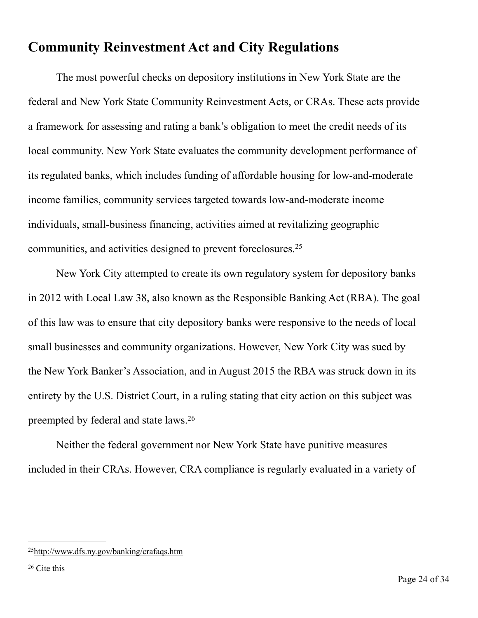## **Community Reinvestment Act and City Regulations**

 The most powerful checks on depository institutions in New York State are the federal and New York State Community Reinvestment Acts, or CRAs. These acts provide a framework for assessing and rating a bank's obligation to meet the credit needs of its local community. New York State evaluates the community development performance of its regulated banks, which includes funding of affordable housing for low-and-moderate income families, community services targeted towards low-and-moderate income individuals, small-business financing, activities aimed at revitalizing geographic communities, and activities designed to prevent foreclosures.25

 New York City attempted to create its own regulatory system for depository banks in 2012 with Local Law 38, also known as the Responsible Banking Act (RBA). The goal of this law was to ensure that city depository banks were responsive to the needs of local small businesses and community organizations. However, New York City was sued by the New York Banker's Association, and in August 2015 the RBA was struck down in its entirety by the U.S. District Court, in a ruling stating that city action on this subject was preempted by federal and state laws.26

 Neither the federal government nor New York State have punitive measures included in their CRAs. However, CRA compliance is regularly evaluated in a variety of

<sup>2</sup>[5http://www.dfs.ny.gov/banking/crafaqs.htm](http://www.dfs.ny.gov/banking/crafaqs.htm)

 $26$  Cite this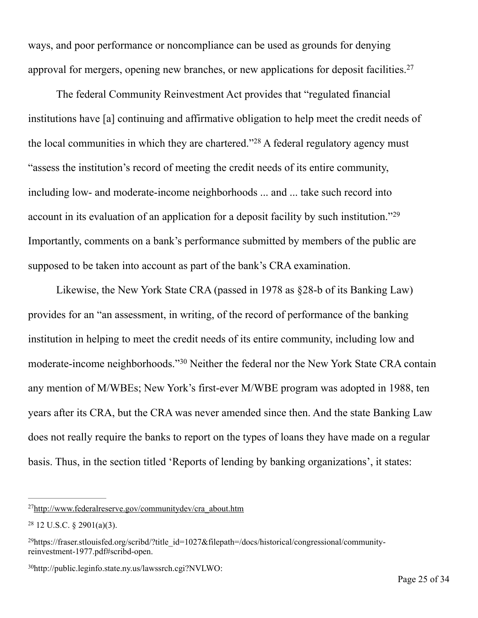ways, and poor performance or noncompliance can be used as grounds for denying approval for mergers, opening new branches, or new applications for deposit facilities.27

 The federal Community Reinvestment Act provides that "regulated financial institutions have [a] continuing and affirmative obligation to help meet the credit needs of the local communities in which they are chartered."<sup>28</sup> A federal regulatory agency must "assess the institution's record of meeting the credit needs of its entire community, including low- and moderate-income neighborhoods ... and ... take such record into account in its evaluation of an application for a deposit facility by such institution."29 Importantly, comments on a bank's performance submitted by members of the public are supposed to be taken into account as part of the bank's CRA examination.

 Likewise, the New York State CRA (passed in 1978 as §28-b of its Banking Law) provides for an "an assessment, in writing, of the record of performance of the banking institution in helping to meet the credit needs of its entire community, including low and moderate-income neighborhoods."<sup>30</sup> Neither the federal nor the New York State CRA contain any mention of M/WBEs; New York's first-ever M/WBE program was adopted in 1988, ten years after its CRA, but the CRA was never amended since then. And the state Banking Law does not really require the banks to report on the types of loans they have made on a regular basis. Thus, in the section titled 'Reports of lending by banking organizations', it states:

<sup>2</sup>[7http://www.federalreserve.gov/communitydev/cra\\_about.htm](http://www.federalreserve.gov/communitydev/cra_about.htm)

 $28$  12 U.S.C. § 2901(a)(3).

<sup>&</sup>lt;sup>29</sup>[https://fraser.stlouisfed.org/scribd/?title\\_id=1027&filepath=/docs/historical/congressional/community](https://fraser.stlouisfed.org/scribd/?title_id=1027&filepath=/docs/historical/congressional/community-reinvestment-1977.pdf) reinvestment-1977.pdf#scribd-open.

<http://public.leginfo.state.ny.us/lawssrch.cgi?NVLWO>: 3[0](http://public.leginfo.state.ny.us/lawssrch.cgi?NVLWO)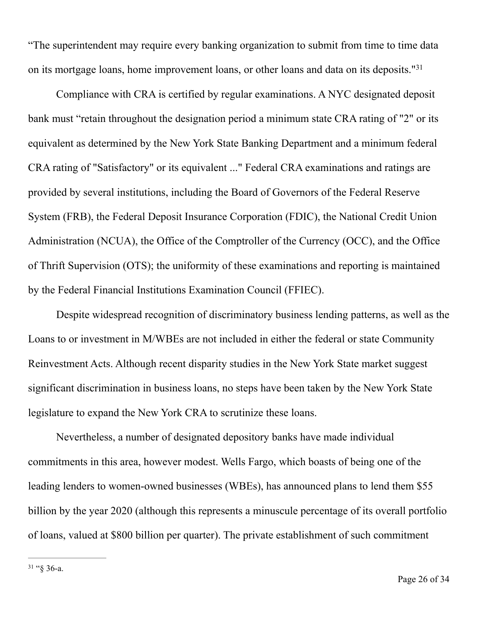"The superintendent may require every banking organization to submit from time to time data on its mortgage loans, home improvement loans, or other loans and data on its deposits."31

 Compliance with CRA is certified by regular examinations. A NYC designated deposit bank must "retain throughout the designation period a minimum state CRA rating of "2" or its equivalent as determined by the New York State Banking Department and a minimum federal CRA rating of "Satisfactory" or its equivalent ..." Federal CRA examinations and ratings are provided by several institutions, including the Board of Governors of the Federal Reserve System [\(FRB\)](http://www.federalreserve.gov/), the Federal Deposit Insurance Corporation [\(FDIC](http://www.fdic.gov/)), the National Credit Union Administration ([NCUA\)](http://www.ncua.gov/), the Office of the Comptroller of the Currency ([OCC](http://www.occ.treas.gov/)), and the Office of Thrift Supervision [\(OTS\)](http://www.ots.treas.gov/); the uniformity of these examinations and reporting is maintained by the Federal Financial Institutions Examination Council (FFIEC).

 Despite widespread recognition of discriminatory business lending patterns, as well as the Loans to or investment in M/WBEs are not included in either the federal or state Community Reinvestment Acts. Although recent disparity studies in the New York State market suggest significant discrimination in business loans, no steps have been taken by the New York State legislature to expand the New York CRA to scrutinize these loans.

 Nevertheless, a number of designated depository banks have made individual commitments in this area, however modest. Wells Fargo, which boasts of being one of the leading lenders to women-owned businesses (WBEs), has announced plans to lend them \$55 billion by the year 2020 (although this represents a minuscule percentage of its overall portfolio of loans, valued at \$800 billion per quarter). The private establishment of such commitment

 $31 \text{``$}$   $36$ -a.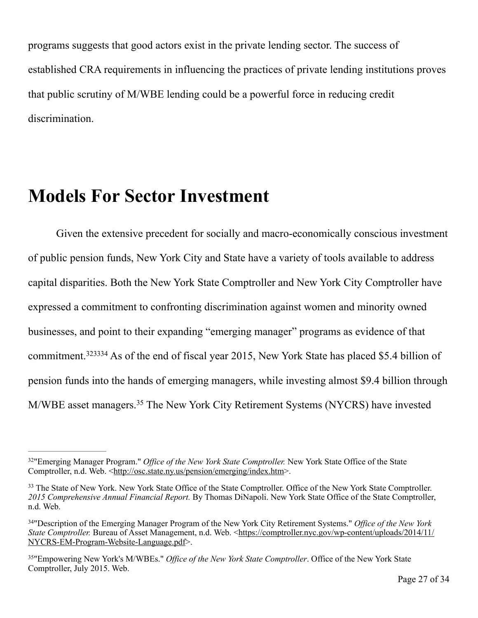programs suggests that good actors exist in the private lending sector. The success of established CRA requirements in influencing the practices of private lending institutions proves that public scrutiny of M/WBE lending could be a powerful force in reducing credit discrimination.

# **Models For Sector Investment**

 Given the extensive precedent for socially and macro-economically conscious investment of public pension funds, New York City and State have a variety of tools available to address capital disparities. Both the New York State Comptroller and New York City Comptroller have expressed a commitment to confronting discrimination against women and minority owned businesses, and point to their expanding "emerging manager" programs as evidence of that commitment.  $323334$  As of the end of fiscal year 2015, New York State has placed \$5.4 billion of pension funds into the hands of emerging managers, while investing almost \$9.4 billion through M/WBE asset managers.<sup>35</sup> The New York City Retirement Systems (NYCRS) have invested

<sup>&</sup>lt;sup>32</sup>"Emerging Manager Program." *Office of the New York State Comptroller*: New York State Office of the State Comptroller, n.d. Web. [<http://osc.state.ny.us/pension/emerging/index.htm>](http://osc.state.ny.us/pension/emerging/index.htm).

<sup>&</sup>lt;sup>33</sup> The State of New York. New York State Office of the State Comptroller. Office of the New York State Comptroller. *2015 Comprehensive Annual Financial Report.* By Thomas DiNapoli. New York State Office of the State Comptroller, n.d. Web.

<sup>&</sup>quot;Description of the Emerging Manager Program of the New York City Retirement Systems." *Office of the New York* <sup>34</sup> *State Comptroller.* [Bureau of Asset Management, n.d. Web. <https://comptroller.nyc.gov/wp-content/uploads/2014/11/](https://comptroller.nyc.gov/wp-content/uploads/2014/11/NYCRS-EM-Program-Website-Language.pdf) NYCRS-EM-Program-Website-Language.pdf>.

<sup>&</sup>lt;sup>35</sup>"Empowering New York's M/WBEs." *Office of the New York State Comptroller*. Office of the New York State Comptroller, July 2015. Web.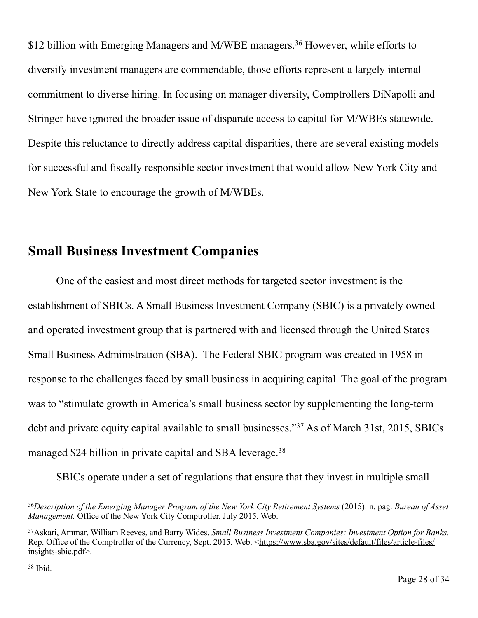\$12 billion with Emerging Managers and M/WBE managers.<sup>36</sup> However, while efforts to diversify investment managers are commendable, those efforts represent a largely internal commitment to diverse hiring. In focusing on manager diversity, Comptrollers DiNapolli and Stringer have ignored the broader issue of disparate access to capital for M/WBEs statewide. Despite this reluctance to directly address capital disparities, there are several existing models for successful and fiscally responsible sector investment that would allow New York City and New York State to encourage the growth of M/WBEs.

## **Small Business Investment Companies**

 One of the easiest and most direct methods for targeted sector investment is the establishment of SBICs. A Small Business Investment Company (SBIC) is a privately owned and operated investment group that is partnered with and licensed through the United States Small Business Administration (SBA). The Federal SBIC program was created in 1958 in response to the challenges faced by small business in acquiring capital. The goal of the program was to "stimulate growth in America's small business sector by supplementing the long-term debt and private equity capital available to small businesses."<sup>37</sup> As of March 31st, 2015, SBICs managed \$24 billion in private capital and SBA leverage.<sup>38</sup>

SBICs operate under a set of regulations that ensure that they invest in multiple small

<sup>&</sup>lt;sup>36</sup>Description of the Emerging Manager Program of the New York City Retirement Systems (2015): n. pag. *Bureau of Asset Management.* Office of the New York City Comptroller, July 2015. Web.

Askari, Ammar, William Reeves, and Barry Wides. *Small Business Investment Companies: Investment Option for Banks.* <sup>37</sup> [Rep. Office of the Comptroller of the Currency, Sept. 2015. Web. <https://www.sba.gov/sites/default/files/article-files/](https://www.sba.gov/sites/default/files/article-files/insights-sbic.pdf) insights-sbic.pdf>.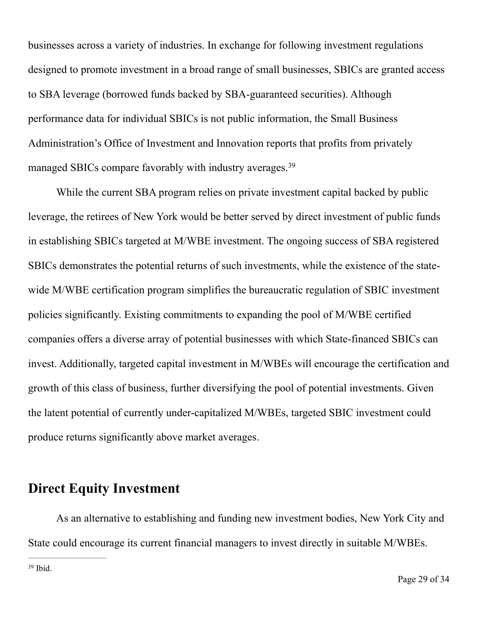businesses across a variety of industries. In exchange for following investment regulations designed to promote investment in a broad range of small businesses, SBICs are granted access to SBA leverage (borrowed funds backed by SBA-guaranteed securities). Although performance data for individual SBICs is not public information, the Small Business Administration's Office of Investment and Innovation reports that profits from privately managed SBICs compare favorably with industry averages.39

 While the current SBA program relies on private investment capital backed by public leverage, the retirees of New York would be better served by direct investment of public funds in establishing SBICs targeted at M/WBE investment. The ongoing success of SBA registered SBICs demonstrates the potential returns of such investments, while the existence of the statewide M/WBE certification program simplifies the bureaucratic regulation of SBIC investment policies significantly. Existing commitments to expanding the pool of M/WBE certified companies offers a diverse array of potential businesses with which State-financed SBICs can invest. Additionally, targeted capital investment in M/WBEs will encourage the certification and growth of this class of business, further diversifying the pool of potential investments. Given the latent potential of currently under-capitalized M/WBEs, targeted SBIC investment could produce returns significantly above market averages.

#### **Direct Equity Investment**

 As an alternative to establishing and funding new investment bodies, New York City and State could encourage its current financial managers to invest directly in suitable M/WBEs.

 $39$  Ibid.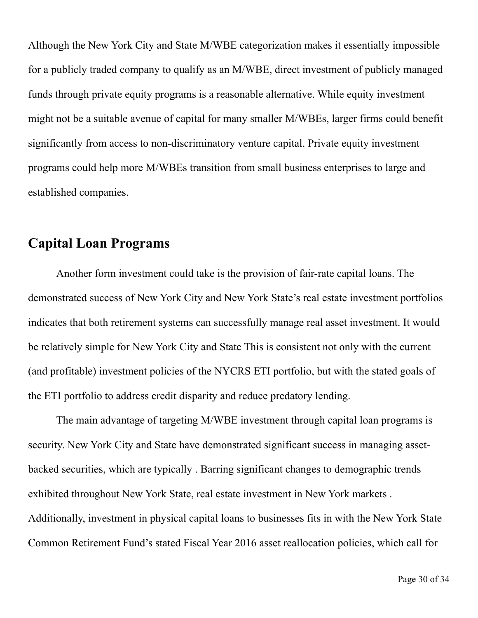Although the New York City and State M/WBE categorization makes it essentially impossible for a publicly traded company to qualify as an M/WBE, direct investment of publicly managed funds through private equity programs is a reasonable alternative. While equity investment might not be a suitable avenue of capital for many smaller M/WBEs, larger firms could benefit significantly from access to non-discriminatory venture capital. Private equity investment programs could help more M/WBEs transition from small business enterprises to large and established companies.

#### **Capital Loan Programs**

 Another form investment could take is the provision of fair-rate capital loans. The demonstrated success of New York City and New York State's real estate investment portfolios indicates that both retirement systems can successfully manage real asset investment. It would be relatively simple for New York City and State This is consistent not only with the current (and profitable) investment policies of the NYCRS ETI portfolio, but with the stated goals of the ETI portfolio to address credit disparity and reduce predatory lending.

 The main advantage of targeting M/WBE investment through capital loan programs is security. New York City and State have demonstrated significant success in managing assetbacked securities, which are typically . Barring significant changes to demographic trends exhibited throughout New York State, real estate investment in New York markets . Additionally, investment in physical capital loans to businesses fits in with the New York State Common Retirement Fund's stated Fiscal Year 2016 asset reallocation policies, which call for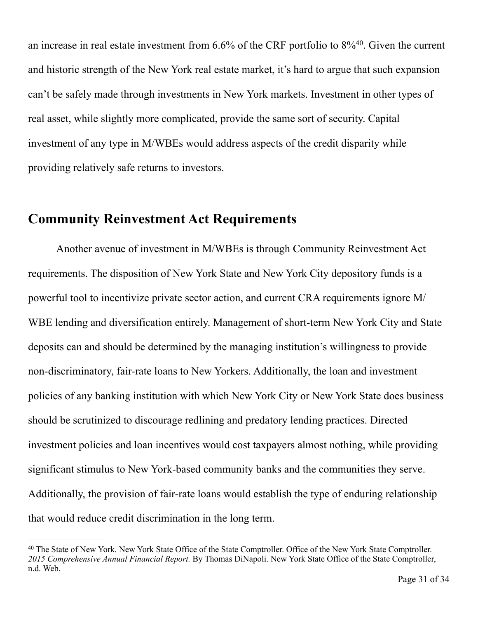an increase in real estate investment from  $6.6\%$  of the CRF portfolio to  $8\%$ <sup>40</sup>. Given the current and historic strength of the New York real estate market, it's hard to argue that such expansion can't be safely made through investments in New York markets. Investment in other types of real asset, while slightly more complicated, provide the same sort of security. Capital investment of any type in M/WBEs would address aspects of the credit disparity while providing relatively safe returns to investors.

#### **Community Reinvestment Act Requirements**

 Another avenue of investment in M/WBEs is through Community Reinvestment Act requirements. The disposition of New York State and New York City depository funds is a powerful tool to incentivize private sector action, and current CRA requirements ignore M/ WBE lending and diversification entirely. Management of short-term New York City and State deposits can and should be determined by the managing institution's willingness to provide non-discriminatory, fair-rate loans to New Yorkers. Additionally, the loan and investment policies of any banking institution with which New York City or New York State does business should be scrutinized to discourage redlining and predatory lending practices. Directed investment policies and loan incentives would cost taxpayers almost nothing, while providing significant stimulus to New York-based community banks and the communities they serve. Additionally, the provision of fair-rate loans would establish the type of enduring relationship that would reduce credit discrimination in the long term.

<sup>&</sup>lt;sup>40</sup> The State of New York. New York State Office of the State Comptroller. Office of the New York State Comptroller. *2015 Comprehensive Annual Financial Report.* By Thomas DiNapoli. New York State Office of the State Comptroller, n.d. Web.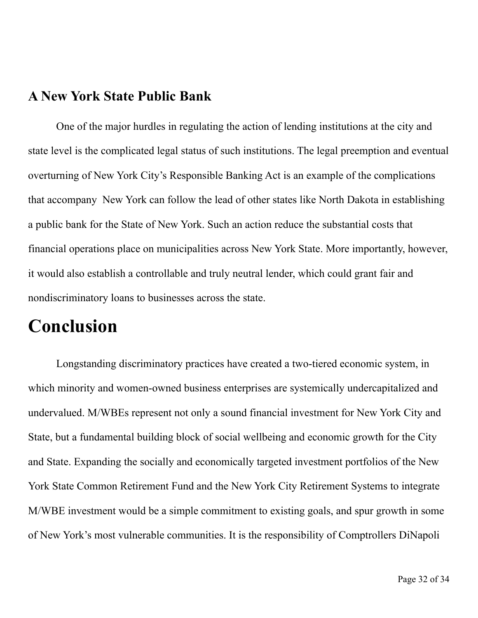#### **A New York State Public Bank**

 One of the major hurdles in regulating the action of lending institutions at the city and state level is the complicated legal status of such institutions. The legal preemption and eventual overturning of New York City's Responsible Banking Act is an example of the complications that accompany New York can follow the lead of other states like North Dakota in establishing a public bank for the State of New York. Such an action reduce the substantial costs that financial operations place on municipalities across New York State. More importantly, however, it would also establish a controllable and truly neutral lender, which could grant fair and nondiscriminatory loans to businesses across the state.

## **Conclusion**

Longstanding discriminatory practices have created a two-tiered economic system, in which minority and women-owned business enterprises are systemically undercapitalized and undervalued. M/WBEs represent not only a sound financial investment for New York City and State, but a fundamental building block of social wellbeing and economic growth for the City and State. Expanding the socially and economically targeted investment portfolios of the New York State Common Retirement Fund and the New York City Retirement Systems to integrate M/WBE investment would be a simple commitment to existing goals, and spur growth in some of New York's most vulnerable communities. It is the responsibility of Comptrollers DiNapoli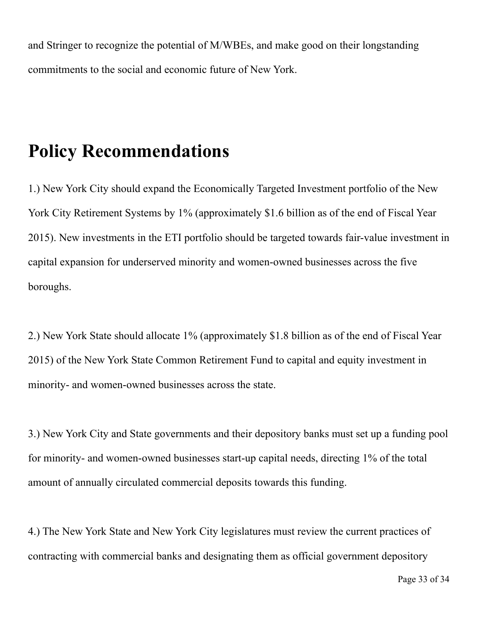and Stringer to recognize the potential of M/WBEs, and make good on their longstanding commitments to the social and economic future of New York.

# **Policy Recommendations**

1.) New York City should expand the Economically Targeted Investment portfolio of the New York City Retirement Systems by 1% (approximately \$1.6 billion as of the end of Fiscal Year 2015). New investments in the ETI portfolio should be targeted towards fair-value investment in capital expansion for underserved minority and women-owned businesses across the five boroughs.

2.) New York State should allocate 1% (approximately \$1.8 billion as of the end of Fiscal Year 2015) of the New York State Common Retirement Fund to capital and equity investment in minority- and women-owned businesses across the state.

3.) New York City and State governments and their depository banks must set up a funding pool for minority- and women-owned businesses start-up capital needs, directing 1% of the total amount of annually circulated commercial deposits towards this funding.

4.) The New York State and New York City legislatures must review the current practices of contracting with commercial banks and designating them as official government depository